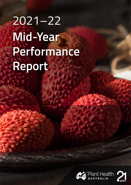# 2021–22 **Mid-Year Performance Report**

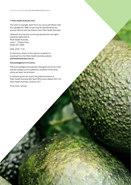#### **© Plant Health Australia 2022**

This work is copyright. Apart from any use as permitted under the *Copyright Act 1986*, no part may be reproduced by any process without prior permission from Plant Health Australia.

 Requests and inquiries concerning reproduction and rights should be addressed to: Plant Health Australia Level 1, 1 Phipps Close Deakin ACT 2600

ISSN: 2205-1716

An electronic version of this report is available for download from the Plant Health Australia website **planthealthaustralia.com.au**

#### **Acknowledgement of Country**

PHA acknowledges the Australian Aboriginal and Torres Strait Islander peoples as the traditional custodians of the lands where we work, live and learn.

In referencing this document, the preferred citation is: Plant Health Australia Mid-Year Performance Report 2021/22 Plant Health Australia, Canberra, ACT

Front cover: Lychees

**2**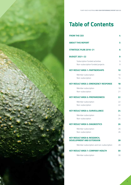

### **Table of Contents**

| <b>FROM THE CEO</b>                                                     | 4        |
|-------------------------------------------------------------------------|----------|
| <b>ABOUT THIS REPORT</b>                                                | 5        |
| <b>STRATEGIC PLAN 2016-21</b>                                           | 6        |
| <b>BUDGET 2021-22</b>                                                   | 9        |
| Subscription funded activities<br>Non-subscription funded projects      | 9<br>9   |
| <b>KEY RESULT AREA 1: PARTNERSHIPS</b>                                  | 10       |
| Member subscription<br>Non-subscription                                 | 10<br>14 |
| <b>KEY RESULT AREA 2: EMERGENCY RESPONSE</b>                            | 18       |
| Member subscription<br>Non-subscription                                 | 18<br>21 |
| <b>KEY RESULT AREA 3: PREPAREDNESS</b>                                  | 22       |
| Member subscription<br>Non-subscription                                 | 22<br>22 |
| <b>KEY RESULT AREA 4: SURVEILLANCE</b>                                  | 24       |
| Member subscription<br>Non-subscription                                 | 24<br>24 |
| <b>KEY RESULT AREA 5: DIAGNOSTICS</b>                                   | 26       |
| Member subscription<br>Non-subscription                                 | 26<br>26 |
| <b>KEY RESULT AREA 6: RESEARCH,</b><br><b>DEVELOPMENT AND EXTENSION</b> | 28       |
| Member subscription and non-subscription                                | 28       |
| <b>KEY RESULT AREA 7: COMPANY HEALTH</b>                                | 30       |
| Member subscription                                                     | 30       |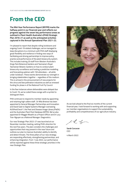### <span id="page-3-0"></span>**From the CEO**

**The Mid-Year Performance Report (MYPR) marks the halfway point in our financial year and reflects our progress against the seven key performance areas as outlined in Plant Health Australia's (PHA) Strategic Plan 2016-21 as well as the anticipated activities captured in the Annual Operational Plan 2021-22.**

I'm pleased to report that despite rolling lockdowns and ongoing Covid-19 related challenges, we've managed to keep disruptions to a minimum with PHA staff displaying great flexibility and resilience in finding new ways of facilitating and driving partnerships to improve policy, practice and performance of the plant biosecurity system. This includes training 20 staff from Western Australia's Kings Park Botanical Gardens and Tasmania's Royal Tasmanian Botanic Gardens on how to conduct plant biosecurity surveillance and hosting a predictive modelling and forecasting webinar with 150 attendees – all while under lockdown. These events demonstrate our strength in bringing stakeholders together – regardless of the medium. This is echoed in the announcement of new projects for the citrus and bee pollination industries as well as renewed funding for phase 4 of the National Fruit Fly Council.

In the few instances where deliverables were delayed due to Covid-19, we've coded these orange with a symbol to distinguish them.

PHA continues to respond to member needs by appointing and retaining high calibre staff. Dr Mila Bristow has been appointed to General Manager Partnerships and Innovation and David Gale to Digital Systems Manager overseeing AUSPestCheck™, the Pest and Disease Image Library (PaDIL) and the Australian Plant Pest Database (APPD). We've also appointed Dr Maggie Mwathi as a Project Officer and Dr Lucy Tran-Nguyen as a National Manager: Diagnostics.

Our new Strategic Plan 2022-27 was launched at our November member meeting, setting PHA's direction for the next five years. The plan considers the challenges and opportunities that may present in the near future and outlines our plan to improve Australia's ability to identify and detect threats. The three pillars of our new strategy are responding effectively, strengthening partnerships, and enhancing integration. From 1 July 2022, our performance will be reported against these three strategic priorities in the new Strategic Plan.



As we look ahead to the final six months of the current financial year, I look forward to working with and supporting our member organisations to support the sustainability, profitability and competitiveness of our agriculture industry.

L Yo

**Sarah Corcoran CEO** 

4 March 2022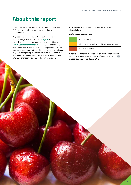### <span id="page-4-0"></span>**About this report**

The 2021–22 Mid-Year Performance Report summarises PHA's progress and achievements from 1 July to 31 December 2021.

Progress in each of the seven key result areas from PHA's Strategic Plan 2016–21 (see **[page 6](#page-5-1)**) is tracked against key performance indicators identified in the **[Annual Operational Plan for 2021–22](https://www.planthealthaustralia.com.au/about-us/corporate-documents/annual-operational-plan/)**. Since each Annual Operational Plan is finalised in May of the previous financial year, some additional projects which receive funding between May and the beginning of the next financial year appear in the Mid-Year Performance Report. Where this occurs (or where KPIs have changed) it is noted in the text accordingly.

A colour code is used to report on performance, as shown below.

#### **Performance reporting key**

| KPI is on track                                 |
|-------------------------------------------------|
| KPL is behind schedule or KPL has been modified |
| KPI will not be met                             |

Where a KPI has been modified due to Covid-19 restrictions, such as interstate travel or the size of events, the symbol is used (courtesy of Iconfinder, LAFS).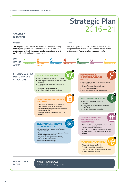## <span id="page-5-1"></span>**Strategic Plan**  2016–21

#### <span id="page-5-0"></span>**STRATEGIC DIRECTION**

#### **Purpose Vision**

The purpose of Plant Health Australia is to coordinate strong industry and government partnerships that minimise plant pest impacts on Australia, boosting industry productivity and profitability while enhancing market access

PHA is recognised nationally and internationally as the independent and trusted coordinator of a robust, shared and integrated Australian plant biosecurity system

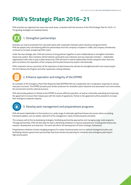### **PHA's Strategic Plan 2016–21**

PHA activities are organised into seven key result areas, consistent with the structure of the PHA Strategic Plan for 2016–21. The guiding strategies are explained below.



#### **1. Strengthen partnerships**

Australia can only be protected from new plant pests with cooperation between plant industries and governments. PHA has played a key role fostering effective partnerships since the company's inception in 2000, and company membership continues to increase, broadening PHA's reach.

Under the new strategic plan, PHA will continue to bring partners together to work collaboratively to strengthen Australia's biosecurity system. New members will be fostered, particularly new industries and new associate members – stakeholder organisations with roles to play in plant biosecurity. PHA will work to extend relationships further along the value chain and plans to enhance the reputation of the company and the plant biosecurity system internationally.

PHA's important role as a promoter of the importance of plant biosecurity will also be strengthened with more resourcing for the Farm Biosecurity Program and other awareness-raising initiatives.



#### **2. Enhance operation and integrity of the EPPRD**

As custodian of the Emergency Plant Pest Response Deed (EPPRD) PHA has a leadership role in eradication responses to serious new pest incursions. The EPPRD provides post-border protection for Australia's plant industries and associated rural communities, the environment and the national economy.

PHA will provide guidance to Parties to the EPPRD to ensure effective operation, as well as continually evaluating and improving the agreement to ensure that it keeps pace with the needs of signatories. Parties to the agreement will be assisted to increase their emergency response capacity.



#### **3. Develop pest management and preparedness programs**

PHA will assist stakeholders to find solutions to a wide range of nationally significant biosecurity issues where no existing framework applies, such as weeds, national fruit fly management, newly introduced pests and pests.

The company will do this by developing strategies, facilitating partnership approaches and managing large-scale programs. Through partnerships, PHA will also take the lead in identifying initiatives to improve preparedness including plant biosecurity research, development and extension. The work will inform the development of future strategic frameworks.

Preparedness initiatives include managing programs for newly introduced pests such as national management plans and facilitating industry-government partnerships that boost biosecurity planning for industries and contingency planning for high priority pests.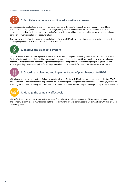

#### **4. Facilitate a nationally coordinated surveillance program**

Given the importance of detecting new pest incursions quickly, and the need to demonstrate area freedom, PHA will take leadership in developing systems of surveillance for high priority pests within Australia. PHA will assist industries to expand data collection for key exotic pests, work to establish farm or regional surveillance systems and through government-industry partnerships, work to implement biosecurity plans.

To maximise benefits from improved systems of checking for pests, PHA will invest in data management and reporting systems, with ongoing benefits to market access for Australian produce.



#### **5. Improve the diagnostic system**

Accurate and rapid identification of pests is a fundamental element of the plant biosecurity system. PHA will continue to boost Australia's diagnostic capability by building a coordinated network of experts that provides comprehensive coverage of expertise nationally. Efforts to increase diagnostic preparedness for priority plant pests will continue through improving the skills and knowledge of diagnosticians, as well as facilitating the development of protocols for the identification of key exotic pests.



#### **6. Co-ordinate planning and implementation of plant biosecurity RD&E**

With change pending in the structure of plant biosecurity science in Australia, PHA will increase its focus on coordinating RD&E across universities and other research organisations. This includes implementing the Plant Biosecurity RD&E Strategy, identifying areas of greatest need, identifying opportunities for cross-sectoral benefits and assisting in obtaining funding for needed research.



#### **7. Manage the company effectively**

With effective and transparent systems of governance, financial control and risk management PHA maintains a sound business. The company is committed to maintaining a highly skilled staff with a broad expertise base to assist members with their growing biosecurity needs.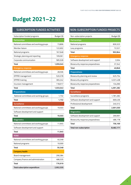### <span id="page-8-0"></span>**Budget 2021–22**

#### **SUBSCRIPTION FUNDED ACTIVITIES**

| Subscription funded programs           | Budget (\$) |
|----------------------------------------|-------------|
| <b>Partnerships</b>                    |             |
| National committees and working groups | 73,806      |
| Member liaison                         | 122,602     |
| National programs                      | 167,648     |
| Strategic planning and reporting       | 109,061     |
| Corporate communication                | 585,928     |
| <b>Total</b>                           | 1,059,045   |
| <b>Emergency response</b>              |             |
| National committees and working groups | 28,506      |
| EPPRD management                       | 520,378     |
| <b>EPPRD</b> training                  | 365,242     |
| Incursion management                   | 118,917     |
| <b>Total</b>                           | 1,033,043   |
| <b>Preparedness</b>                    |             |
| National committees and working groups | 1,732       |
| Total                                  | 1,732       |
| <b>Surveillance</b>                    |             |
| National committees and working groups | 19,503      |
| Software development and support       |             |
| <b>Total</b>                           | 19,503      |
| <b>Diagnostics</b>                     |             |
| National committees and working groups | 11,945      |
| Software development and support       |             |
| Total                                  | 11,945      |
| <b>RD&amp;E</b>                        |             |
| National committees and working groups | 40,348      |
| National programs                      | 10,000      |
| <b>Total</b>                           | 50,348      |
| <b>Company health</b>                  |             |
| Board management                       | 290,384     |
| Company finance and administration     | 486,535     |
| Total                                  | 776,919     |
| <b>Total subscription expenditure</b>  | 2,952,535   |

### **NON-SUBSCRIPTION FUNDED PROJECTS**

| Non-subscription projects         | Budget (\$) |
|-----------------------------------|-------------|
| <b>Partnerships</b>               |             |
| National programs                 | 830,323     |
| Levy programs                     | 72,521      |
| <b>Total</b>                      | 902,844     |
| <b>Emergency response</b>         |             |
| Software development and support  | 3,504       |
| Biosecurity response preparedness | 37,342      |
| <b>Total</b>                      | 40,846      |
| <b>Preparedness</b>               |             |
| Biosecurity planning and review   | 625,754     |
| Biosecurity programs              | 3,331,438   |
| Biosecurity response preparedness | 134,090     |
| <b>Total</b>                      | 4,091,282   |
| <b>Surveillance</b>               |             |
| Surveillance programs             | 1,781,282   |
| Software development and support  | 669,436     |
| Professional development          | 240,312     |
| <b>Total</b>                      | 2,691,030   |
| <b>Diagnostics</b>                |             |
| Software development and support  | 269,991     |
| Biosecurity response preparedness | 486,178     |
| <b>Total</b>                      | 756,169     |
| Total non-subscription            | 8,482,171   |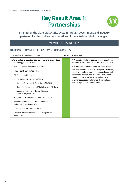### **Key Result Area 1: Partnerships**



<span id="page-9-0"></span>**Strengthen the plant biosecurity system through government and industry partnerships that deliver collaborative solutions to identified challenges.**

#### **MEMBER SUBSCRIPTION**

#### **NATIONAL COMMITTEES AND WORKING GROUPS**

| Key Performance Indicators (KPIs)                                                        | Status | Achievements                                                                                            |
|------------------------------------------------------------------------------------------|--------|---------------------------------------------------------------------------------------------------------|
| Attend and contribute to meetings of national committees<br>and working groups, such as: |        | PHA has attended all meetings of the key national<br>plant biosecurity committees, forums and councils. |
| National Biosecurity Committee (NBC)                                                     |        | PHA has led a number of items including review                                                          |
| Plant Health Committee (PHC)                                                             |        | and development on new national plant biosecurity<br>sub-strategies for preparedness, surveillance and  |
| PHC subcommittees on:                                                                    |        | diagnostics, and the Joint Industry-Government                                                          |
| Plant Health Diagnostics (SPHD)                                                          |        | Workshop for the NABFRG, December 2021,<br>to enhance successful plant health surveillance              |
| National Plant Health Surveillance (SNPHS)                                               |        | partnerships in northern Australia.                                                                     |
| Domestic Quarantine and Market Access (SDQMA)                                            |        |                                                                                                         |
| Australian Fruit Fly Technical Advisory<br>Committee (AFFTAC)                            |        |                                                                                                         |
| Environmental and Invasives Committee (EIC)                                              |        |                                                                                                         |
| Northern Australia Biosecurity Framework<br>Reference Group (NABFRG)                     |        |                                                                                                         |
| National Fruit Fly Council (NFFC)                                                        |        |                                                                                                         |
| Other ad hoc committees and working groups<br>٠<br>as required.                          |        |                                                                                                         |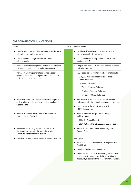#### **CORPORATE COMMUNICATIONS**

| <b>KPIs</b>                                                                                                                                    | <b>Status</b> | Achievements                                                                                                                                                   |
|------------------------------------------------------------------------------------------------------------------------------------------------|---------------|----------------------------------------------------------------------------------------------------------------------------------------------------------------|
| Produce a monthly Tendrils e-newsletter and increase<br>subscriber base by five per cent.                                                      |               | • 7 editions of Tendrils produced and subscriber<br>base increased by 5.1 per cent.                                                                            |
| • Secure media coverage of major PHA news in<br>relevant media.                                                                                |               | • Isentia media monitoring captured 106 articles<br>mentioning PHA.                                                                                            |
| Increase the number of proactive articles for targeted<br>media and industry magazines by five per cent.                                       |               | • 121 per cent increase in proactive articles, releases<br>and radio interviews.                                                                               |
| Increase reach, frequency of social media posts<br>٠                                                                                           |               | 1,227 posts across Twitter, Facebook and LinkedIn<br>٠                                                                                                         |
| covering company news, aspects of the biosecurity<br>system and industry spotlights.                                                           |               | 675,822 impressions across three social<br>media platforms                                                                                                     |
|                                                                                                                                                |               | Increased followers:                                                                                                                                           |
|                                                                                                                                                |               | - Twitter: 230 new followers                                                                                                                                   |
|                                                                                                                                                |               | Facebook: 342 new followers                                                                                                                                    |
|                                                                                                                                                |               | LinkedIn: 780 new followers.                                                                                                                                   |
| Maintain the corporate website as well as program<br>and member websites and increase the number of                                            |               | • PHA website maintained with security patches<br>and upgrades to the content management system.                                                               |
| website visits.                                                                                                                                |               | 265,973 users of the PHA website with<br>٠<br>430,709 pageviews.                                                                                               |
| • Produce accessible publications to schedule and<br>promote them effectively.                                                                 |               | • Reports produced and promoted through<br>multiple channels:                                                                                                  |
|                                                                                                                                                |               | - 2020/21 Annual Report                                                                                                                                        |
|                                                                                                                                                |               | - 2020 National Plant Biosecurity Status Report.                                                                                                               |
| Provide timely and high-quality responses to<br>٠<br>significant reviews with the potential to affect<br>Australia's plant biosecurity system. |               | Participated in the National Biosecurity Strategy<br>٠<br>Working Group.                                                                                       |
| Participate in industry events with a biosecurity focus.                                                                                       |               | Participated in:                                                                                                                                               |
|                                                                                                                                                |               | • Australia Biosecurity Series: Protecting Australia's<br>Plant Health                                                                                         |
|                                                                                                                                                |               | Crawford Fund Annual Conference<br>٠                                                                                                                           |
|                                                                                                                                                |               | Supported the Australian Biosecurity Awards, with<br>٠<br>a plant industry leader awarded the 2021 Farm<br>Biosecurity Producer of the Year Pohlman's Nursery. |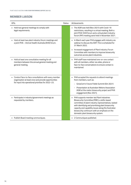#### **MEMBER LIAISON**

| <b>KPIs</b>                                                                                                                                                          | <b>Status</b> | Achievements                                                                                                                                                                                                                                                                                                                                           |
|----------------------------------------------------------------------------------------------------------------------------------------------------------------------|---------------|--------------------------------------------------------------------------------------------------------------------------------------------------------------------------------------------------------------------------------------------------------------------------------------------------------------------------------------------------------|
| • Hold two general meetings to comply with<br>legal requirements.                                                                                                    |               | The AGM was held (Nov 2021) with Covid-19<br>restrictions, resulting in a virtual meeting. Both a<br>joint PHA/ AHA forum and a virtual plant industry<br>forum (PIF) meeting were held in November 2021.                                                                                                                                              |
| • Host at least two plant industry forum meetings and<br>a joint PHA - Animal Health Australia (AHA) forum.                                                          |               | . In March each year PHA engages with industry via<br>webinar to discuss the AOP. This is scheduled for<br>31 March 2022.                                                                                                                                                                                                                              |
|                                                                                                                                                                      |               | Increased engagement of Plant Industry Forum<br>$\blacksquare$<br>Committee with members to improve biosecurity<br>outcomes across plant industries.                                                                                                                                                                                                   |
| • Hold at least one consultative meeting for all<br>members between the annual general meeting and<br>general meeting.                                               |               | PHA staff have maintained one-on-one contact<br>with all members, either via video, phone or<br>face-to-face conversations to ensure contact is<br>maintained.                                                                                                                                                                                         |
| • Conduct face-to-face consultations with every member<br>organisation at least once and provide opportunities<br>for input into operational priorities for 2022-23. |               | • PHA accepted the requests to attend meetings<br>from members, such as:<br>- GrowCom's Future Fields Summit (Oct 2021)<br>Presentation at Australian Melons Association<br>AGM at the melon biosecurity project and PHA<br>engagement (Nov 2021).                                                                                                     |
| · Participate in industry/government meetings as<br>requested by members.                                                                                            |               | • PHA supports member-led Plant Industries<br>Biosecurity Committee (PIBC), a skills-based<br>committee of plant industry representatives, tasked<br>with identifying and prioritising plant biosecurity<br>capacity and capability issues along the Australian<br>biosecurity continuum with an emphasis on the<br>domestic plant biosecurity system. |
| · Publish Board meeting communiques.                                                                                                                                 |               | · 2 Communiques published.                                                                                                                                                                                                                                                                                                                             |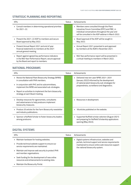#### **STRATEGIC PLANNING AND REPORTING**

| <b>KPIs</b>                                                                                                                                      | Status | Achievements                                                                                                                                                                                            |
|--------------------------------------------------------------------------------------------------------------------------------------------------|--------|---------------------------------------------------------------------------------------------------------------------------------------------------------------------------------------------------------|
| • Consult members in determining operational priorities<br>for 2021-22.                                                                          |        | • Members were consulted through the Plant<br>Industries Forum Committee (PIFC) and PIBC, in<br>individual conversations throughout the year and<br>will be consulted in the AOP webinar in March 2022. |
| • Present the 2021–22 AOP to members and secure<br>Board approval by May 2022.                                                                   |        | • Board approval of the AOP will be sought in<br>May 2022.                                                                                                                                              |
| • Present Annual Report 2021 and end of year<br>financial statements to members at the 2021<br>annual general meeting.                           |        | • Annual Report 2021 presented to and approved<br>by members at the AGM in November 2021.                                                                                                               |
| • Report against agreed key performance indicators<br>in the Mid-Year Performance Report, secure approval<br>by the Board and report to members. |        | • Mid-Year performance report will be presented in<br>a virtual meeting to members in March 2022.                                                                                                       |

#### **NATIONAL PROGRAMS**

| <b>KPIs</b>                                                                                                                    | Status | Achievements                                                                                                                     |
|--------------------------------------------------------------------------------------------------------------------------------|--------|----------------------------------------------------------------------------------------------------------------------------------|
| Revise the National Plant Biosecurity Strategy (NPBS)<br>٠.<br>in consultation with PHA members.                               |        | Delivered new ten-year NPBS 2021-2031<br>٠<br>(January 2022) informed by the development                                         |
| In conjunction with PHC and its subcommittees,<br>٠<br>implement the NPBS and associated sub-strategies.                       |        | of national plant biosecurity sub-strategies for<br>preparedness, surveillance and diagnostics.                                  |
| Report on activities to implement the farm biosecurity<br>strategy at each Board meeting.                                      |        |                                                                                                                                  |
| Develop resources for agronomists, consultants<br>٠.<br>and veterinarians to help producers implement<br>biosecurity measures. |        | Resources in development.                                                                                                        |
| Produce 20 articles for the Farm Biosecurity newsletter<br>٠.<br>and industry publications.                                    |        | 18 articles published on the website.                                                                                            |
| • Sponsor a Nuffield Scholar to foster biosecurity leaders<br>among producers.                                                 |        | Supported Nuffield scholar selection (August 2021)<br>and preparing for Nuffield Scholarship applications<br>opening (May 2022). |

#### **DIGITAL SYSTEMS**

| <b>KPIs</b>                                                                                                       | Status | Achievements                                                                                                                                 |
|-------------------------------------------------------------------------------------------------------------------|--------|----------------------------------------------------------------------------------------------------------------------------------------------|
| • Maintain hardware for hosting websites.                                                                         |        | · Digital systems infrastructure, websites and                                                                                               |
| • Provide technical website support to ensure our<br>service requirements are maintained.                         |        | portals, technical support and service requirements<br>maintained to ensure online web resources support<br>the national biosecurity system. |
| Maintain and improve web security to protect PHA<br>and member organisations.                                     |        |                                                                                                                                              |
| Seek funding for the development of new online<br>$\blacksquare$<br>resources and enhancements to existing sites. |        |                                                                                                                                              |
| Maintain the Biosecurity Portal.                                                                                  |        |                                                                                                                                              |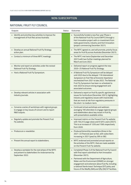#### **NON-SUBSCRIPTION**

#### <span id="page-13-0"></span>**NATIONAL FRUIT FLY COUNCIL**

| Outputs                                                                                                                  | <b>Status</b><br>Outcomes                                                                                                                                                                                                                                                                                                     |
|--------------------------------------------------------------------------------------------------------------------------|-------------------------------------------------------------------------------------------------------------------------------------------------------------------------------------------------------------------------------------------------------------------------------------------------------------------------------|
| • Identify and prioritise key activities to improve the<br>management of fruit flies across Australia.                   | • Successfully funded a new five-year Phase 4<br>of the National Fruit Fly Council (NFFC) through a<br>Hort Innovation project with co-investment from<br>state governments, industry and Hort Innovation<br>(project commencing December 2021).                                                                              |
| • Develop an annual National Fruit Fly Strategy<br>action plan.                                                          | • The NFFC agreed on, and will promote, priority focus<br>areas for fruit fly across Australia (December 2021).                                                                                                                                                                                                               |
| • Conduct a minimum of three NFFC meetings.                                                                              | • The NFFC met twice (September and December<br>2021) with two further meetings planned for<br>March and June 2022.                                                                                                                                                                                                           |
| • Monitor and report on activities under the revised<br>National Fruit Fly Strategy.                                     | • Delivered report on progress against the new<br>2020-25 National Fruit Fly Strategy.                                                                                                                                                                                                                                        |
| • Host a National Fruit Fly Symposium.                                                                                   | A National Fruit Fly Symposium will be delayed<br>until 2023 due to the delayed 11th International<br>Symposium on Fruit Flies of Economic Importance<br>rescheduled from 2021 to late 2022. The National<br>Fruit Fly Symposium has been re-scheduled to<br>mid-2023 to ensure strong engagement and<br>associated outcomes. |
| • Develop relevant articles in association with<br>industry journals.                                                    | • Delivered a report on fruit fly specific agrichemical<br>issues for horticulture (December 2021), highlighting<br>industry and regulatory issues with insecticides<br>that are most at risk from regulatory pressures in<br>the short- to medium-term.                                                                      |
| • Convene a series of workshops with regional groups<br>to engage on key issues of concern and to report<br>R&D outputs. | • Continued virtual workshops and webinars<br>averaging 100 attendees to engage regional groups<br>and stakeholders about key issues in fruit fly,<br>with presentations available online.                                                                                                                                    |
| • Regularly update and promote the Prevent Fruit<br>Fly website.                                                         | . Improved metrics on the Prevent Fruit Fly website<br>with 104,512 page views and 61,814 users (2021).<br>This is an increase of 125% and 156% respectively<br>from 2020.                                                                                                                                                    |
| • Produce an e-newsletter.                                                                                               | • Produced bimonthly newsletters (three in the<br>2021-22 financial year so far), with subscribers<br>increasing in 2021 (year) by 39% to 582.                                                                                                                                                                                |
| • Present the annual report to stakeholders.                                                                             | • NFFC endorsed and promoted annual reports on<br>the activities of the NFFC, that are made available<br>on the Prevent Fruit Fly website.                                                                                                                                                                                    |
| Develop a workplan for the next phase of the NFFC<br>and present to stakeholders for endorsement by<br>September 2022.   | • Completed Phase 3 of the National Fruit Fly Council<br>with final report submitted to Hort Innovation<br>(December 2021).                                                                                                                                                                                                   |
|                                                                                                                          | · Partnered with the Department of Agriculture,<br>Water and the Environment (DAWE) on stronger<br>engagement and extension about fruit fly, including<br>a national Sterile Insect Technique (SIT) policy and<br>future of the Medfly (WA) and Qfly (SA) SIT facilities.                                                     |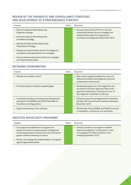#### **REVIEW OF THE DIAGNOSTIC AND SURVEILLANCE STRATEGIES AND DEVELOPMENT OF A PREPAREDNESS STRATEGY**

| Outputs                                                                                               | Status | Quitcomes                                                                                |
|-------------------------------------------------------------------------------------------------------|--------|------------------------------------------------------------------------------------------|
| • Revise the National Plant Biosecurity<br>Diagnostic Strategy.                                       |        | • Secured endorsement of PHC for new and<br>revised plant biosecurity sub-strategies and |
| • Revise the National Plant Biosecurity<br>Surveillance Strategy.                                     |        | implementation plans for preparedness,<br>surveillance and diagnostics (December 2021).  |
| Develop the National Plant Biosecurity<br>٠<br>Preparedness Strategy.                                 |        |                                                                                          |
| • Develop an implementation plan for the diagnostic,<br>surveillance and preparedness sub-strategies. |        |                                                                                          |
| • Secure national endorsement of the sub-strategies<br>and implementation plans.                      |        |                                                                                          |

#### **NETWORK COORDINATION**

| Outputs                                                                                                                                     | Status | Outcomes                                                                                                                                                                                     |
|---------------------------------------------------------------------------------------------------------------------------------------------|--------|----------------------------------------------------------------------------------------------------------------------------------------------------------------------------------------------|
| Develop new website content.                                                                                                                |        | • New content regularly published on each site.<br>National Surveillance and Diagnostic protocols<br>updated post-endorsement.                                                               |
| • Prioritise activities to address capability gaps.                                                                                         |        | • Residential programs for both diagnostics and<br>surveillance have been approved. Most of the<br>approved residentials on hold due to Covid-19.<br>One diagnostic residential is underway. |
| • Coordinate the delivery of professional development<br>activities for the NPBDN and PSNAP (See KRAs for<br>Surveillance and Diagnostics). |        | Delivered virtual Annual Diagnosticians Workshop<br>(October 2021) and Annual Surveillance Workshop<br>(December 2021).                                                                      |
| Expand membership of the networks.                                                                                                          |        | Membership of both NPBDN and PSNAP promoted<br>in newsletters, conferences and workshops.                                                                                                    |

#### **INDUSTRY BIOSECURITY PROGRAMS**

| Outputs                                                                                                                                                                                            | Status | Outcomes                                                                                                                                                           |
|----------------------------------------------------------------------------------------------------------------------------------------------------------------------------------------------------|--------|--------------------------------------------------------------------------------------------------------------------------------------------------------------------|
| • Encourage the establishment of programs for<br>industry members to improve grower management<br>of and preparedness for biosecurity risks and improve<br>grower resilience following incursions. |        | • Industry members encouraged to establish<br>biosecurity programs, including peer-to-peer<br>encouragement at Plant Industries Forum<br>meetings (November 2021). |
| • Monitor and manage the implementation of programs<br>against agreed deliverables.                                                                                                                |        |                                                                                                                                                                    |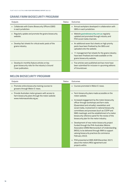#### **GRAINS FARM BIOSECURITY PROGRAM**

| Outputs                                                                                                               | Status | Outcomes                                                                                                                                                                                                                                                                |
|-----------------------------------------------------------------------------------------------------------------------|--------|-------------------------------------------------------------------------------------------------------------------------------------------------------------------------------------------------------------------------------------------------------------------------|
| • Collaborate with Grains Biosecurity Officers (GBO)<br>in each jurisdiction.                                         |        | Annual workplans developed in collaboration with<br>$\blacksquare$<br>GBOs in each jurisdiction.                                                                                                                                                                        |
| Regularly update and promote the grains biosecurity<br>website.                                                       |        | Website grainsbiosecurity.com.au regularly<br>٠<br>updated and promoted through industry and<br>PHA social media channels.                                                                                                                                              |
| Develop fact sheets for critical exotic pests of the<br>grains industry.                                              |        | • An additional seven fact sheets on high priority<br>pests have been finalised by the GBOs and<br>uploaded onto the website.<br>11 management fact sheets for the grains industry<br>٠<br>have been finalised and made available on the<br>grains biosecurity website. |
| Develop bi-monthly feature articles on key<br>grain biosecurity risks for the industry's Ground<br>Cover publication. |        | • Five articles were published and two more have<br>been submitted for inclusion in upcoming editions<br>of Groundcover.                                                                                                                                                |

#### **MELON BIOSECURITY PROGRAM**

| Outputs                                                                                                                              | Status | Outcomes                                                                                                                                                                                                                                                                                                                                                                                                                                                                                                                                                                                                                                                                                                                                                                                                                                                                                             |
|--------------------------------------------------------------------------------------------------------------------------------------|--------|------------------------------------------------------------------------------------------------------------------------------------------------------------------------------------------------------------------------------------------------------------------------------------------------------------------------------------------------------------------------------------------------------------------------------------------------------------------------------------------------------------------------------------------------------------------------------------------------------------------------------------------------------------------------------------------------------------------------------------------------------------------------------------------------------------------------------------------------------------------------------------------------------|
| • Promote online biosecurity training courses to<br>growers through Melon E-news.                                                    |        | • Courses promoted in Melon E-news.                                                                                                                                                                                                                                                                                                                                                                                                                                                                                                                                                                                                                                                                                                                                                                                                                                                                  |
| • Provide Australian melon growers with access to<br>farm biosecurity plans through the melon website<br>www.melonsaustralia.org.au. |        | Farm biosecurity plans made accessible on the<br>$\blacksquare$<br>melon website.<br>Increased engagement by the melon biosecurity<br>$\blacksquare$<br>officer through workshops and farm visits<br>(Queensland and virtually), newsletters and<br>social media, involvement in national biosecurity<br>committees and processes (such as CCEPP and<br>NMG meetings), and the establishment of a melon<br>biosecurity reference panel for the review of the<br>biosecurity plan for the melon industry.<br>Development of new melon biosecurity project<br>$\blacksquare$<br>funded through the PHA-Australian Melons<br>Association (AMA) Memorandum of Understanding<br>(MOU), to be delivered through AMA to support<br>valuing biosecurity practices (to commence<br>February 2022).<br>PHA presented at AMA AGM (December 2021)<br>٠<br>about the melons MOU agreement and<br>projects within. |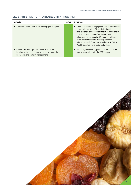#### **VEGETABLE AND POTATO BIOSECURITY PROGRAM**

| Outputs                                                                                                                                | Status | Quitcomes                                                                                                                                                                                                                                                                                                                                                                                                 |
|----------------------------------------------------------------------------------------------------------------------------------------|--------|-----------------------------------------------------------------------------------------------------------------------------------------------------------------------------------------------------------------------------------------------------------------------------------------------------------------------------------------------------------------------------------------------------------|
| • Implement a communication and engagement plan.                                                                                       |        | • Communication and engagement plan implemented,<br>including biosecurity officers delivering six<br>face-to-face workshops, facilitated, or participated<br>in five online workshops (webinars), visited<br>48 growers, and producing 43 communications<br>in the form of magazine articles (traditional<br>print and online), Front Line e-Bulletins, AUSVEG<br>Weekly Updates, factsheets, and videos. |
| • Conduct a national grower survey to establish<br>baseline and measure improvements to change in<br>knowledge and on farm management. |        | National grower survey planned to be conducted<br>٠<br>post season in line with the 2021 survey.                                                                                                                                                                                                                                                                                                          |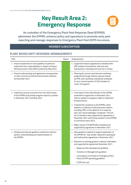### **Key Result Area 2: Emergency Response**



<span id="page-17-0"></span>**As custodian of the Emergency Plant Pest Response Deed (EPPRD), administer the EPPRD, enhance policy and operations to promote early pest reporting and manage responses to Emergency Plant Pest (EPP) incursions.**

#### **MEMBER SUBSCRIPTION**

#### **PLANT BIOSECURITY RESPONSE ARRANGEMENTS**

| <b>KPIs</b>                                                                                                                                                    | <b>Status</b> | Achievements                                                                                                                                                                                                                                                                                                                            |
|----------------------------------------------------------------------------------------------------------------------------------------------------------------|---------------|-----------------------------------------------------------------------------------------------------------------------------------------------------------------------------------------------------------------------------------------------------------------------------------------------------------------------------------------|
| . Improve awareness of and capability of parties to<br>implement their responsibilities in respect of Owner<br>Reimbursement Costs (ORC) achieved by May 2022. |               | • Supported industry signatories to develop their<br>ORC evidence frameworks, with two new<br>frameworks in development and one in review.                                                                                                                                                                                              |
| Shared understanding and agreement among parties<br>on their normal commitment benchmarks achieved<br>by December 2021.                                        |               | • Planning for normal commitments workshop<br>progressed through reference group chaired<br>by PHA, with workshop indicatively scheduled<br>to occur second quarter of 2022 (subject to<br>Covid-19 impacts).                                                                                                                           |
| Implement priority outcomes from the 2020 review<br>of the EPPRD and provide progress reports to parties<br>in November 2021 and May 2022.                     |               | Final report of the 2020 Review of the EPPRD<br>presented to signatories in November 2021,<br>with an update on progress made to implement<br>forward actions.                                                                                                                                                                          |
|                                                                                                                                                                |               | • Finalised the variations to the EPPRD, which<br>address a multitude of policy/process matters,<br>including 'ORCs in the absence of a response<br>plan' and 'vector/pathogen complexes.' This full<br>set of variations was supported by signatories in<br>November 2021 and formal variation to the EPPRD<br>to commence early 2022. |
|                                                                                                                                                                |               | Major review of PLANTPLAN completed and<br>supported by signatories in November 2021.                                                                                                                                                                                                                                                   |
| Develop and improve guidance material to enhance<br>parties' understanding and implementation of<br>the EPPRD.                                                 |               | • New guidance material to support application of<br>the EPPRD for 'near border' detections developed<br>and endorsed by signatories in November 2021.                                                                                                                                                                                  |
|                                                                                                                                                                |               | Revisions to existing guidance material undertaken<br>and supported by signatories November 2021:                                                                                                                                                                                                                                       |
|                                                                                                                                                                |               | Response Plan development guideline                                                                                                                                                                                                                                                                                                     |
|                                                                                                                                                                |               | Transition to Management guideline                                                                                                                                                                                                                                                                                                      |
|                                                                                                                                                                |               | Consultative Committee on Emergency Plant<br>Pests (CCEPP) operating guideline                                                                                                                                                                                                                                                          |
|                                                                                                                                                                |               | CCEPP job card.                                                                                                                                                                                                                                                                                                                         |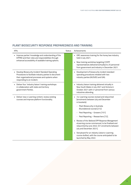#### **PLANT BIOSECURITY RESPONSE PREPAREDNESS AND TRAINING**

| <b>KPIs</b>                                                                                                                                                                               | <b>Status</b> | Achievements                                                                                                                                                                                                                                    |
|-------------------------------------------------------------------------------------------------------------------------------------------------------------------------------------------|---------------|-------------------------------------------------------------------------------------------------------------------------------------------------------------------------------------------------------------------------------------------------|
| . Improve parties' knowledge and understanding of the<br>EPPRD and their roles and responsibilities through<br>enhanced accessibility of available training options.                      |               | • ORC awareness training for the honey bee industry<br>held in July 2021.<br>New training workshop targeting CCEPP<br>$\blacksquare$<br>representatives delivered (virtually) to 25 personnel<br>from government and industry in December 2021. |
| Develop Biosecurity Incident Standard Operating<br>Procedures to facilitate industry parties to document<br>their organisational processes and systems when<br>responding to an incident. |               | Development of biosecurity incident standard<br>٠<br>operating procedures initiated with two<br>industry parties (AUSVEG and GIA).                                                                                                              |
| Deliver four 'industry liaison' training workshops<br>٠<br>in collaboration with state and territory<br>government Parties.                                                               |               | · Industry liaison training delivered virtually in<br>New South Wales in July 2021 and Victoria in<br>October 2021 with 41 personnel from various<br>industries attending.                                                                      |
| Deliver new e-Learning content, review existing<br>٠<br>courses and improve platform functionality.                                                                                       |               | • 3 e-Learning courses revised and relaunched<br>[enrolments between July and December<br>in brackets]:                                                                                                                                         |
|                                                                                                                                                                                           |               | Plant Biosecurity in Australia<br>(foundational course) [212]                                                                                                                                                                                   |
|                                                                                                                                                                                           |               | Pest Reporting - Growers [151]                                                                                                                                                                                                                  |
|                                                                                                                                                                                           |               | Pest Reporting - Researchers [72].                                                                                                                                                                                                              |
|                                                                                                                                                                                           |               | - Review of the National EPP Response Management<br>eLearning course commenced, to be finalised and<br>relaunched by June 2022. [51 enrolments between<br>July and December 2021].                                                              |
|                                                                                                                                                                                           |               | • Storyboard for an Industry Liaison e-Learning<br>course drafted, with the course anticipated to be<br>launched by May 2022.                                                                                                                   |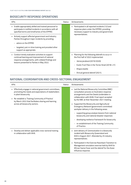#### **BIOSECURITY RESPONSE OPERATIONS**

| <b>KPIs</b>                                                                                                                                                       | Status | Achievements                                                                                                                                      |
|-------------------------------------------------------------------------------------------------------------------------------------------------------------------|--------|---------------------------------------------------------------------------------------------------------------------------------------------------|
| Enable appropriately skilled and trained personnel to<br>participate in notified incidents in accordance with all<br>specified terms and timeframes of the EPPRD. |        | Participated in all reported incidents (12) and<br>٠<br>response plans under the EPPRD, providing<br>necessary support to industry and government |
| Actively support affected government and Industry<br>٠<br>Parties throughout major incidents by providing:                                                        |        | representatives.                                                                                                                                  |
| advice on the EPPRD                                                                                                                                               |        |                                                                                                                                                   |
| targeted, just-in-time training and provided other<br>support as appropriate.                                                                                     |        |                                                                                                                                                   |
| Conduct timely evaluation activities to support<br>٠<br>continual learning and improvement of national                                                            |        | Planning for the following debriefs to occur in<br>٠<br>the first half of 2022 implemented:                                                       |
| response arrangements, with collated findings and<br>lessons presented to Parties in May 2022.                                                                    |        | Varroa jacobsoni (2019/2020)                                                                                                                      |
|                                                                                                                                                                   |        | Exotic Fruit Flies in the Torres Strait (2018–21)                                                                                                 |
|                                                                                                                                                                   |        | Khapra beetle                                                                                                                                     |
|                                                                                                                                                                   |        | Annual general debrief (2021).                                                                                                                    |

#### **NATIONAL COORDINATION AND CROSS-SECTORAL ENGAGEMENT**

| <b>KPIs</b>                                                                                                                                                                                                                                                                         | <b>Status</b> | Achievements                                                                                                                                                                                                                                                                                                                                                                                                                                                                                                                                                                                                           |
|-------------------------------------------------------------------------------------------------------------------------------------------------------------------------------------------------------------------------------------------------------------------------------------|---------------|------------------------------------------------------------------------------------------------------------------------------------------------------------------------------------------------------------------------------------------------------------------------------------------------------------------------------------------------------------------------------------------------------------------------------------------------------------------------------------------------------------------------------------------------------------------------------------------------------------------------|
| Effectively engage in national government committees,<br>promoting the needs and expectations of stakeholders<br>in plant biosecurity.<br>Re-establish a 'Training Community of Practice'<br>by March 2022 that facilitates sharing and learning<br>across all biosecurity sectors. |               | • Led the National Biosecurity Committee (NBC)<br>consultation process on Australia's response<br>arrangements and the Deeds (undertaken in<br>collaboration with AHA). Final report accepted<br>by the NBC at their November 2021 meeting.<br>Supported the Biosecurity and Agricultural<br>$\blacksquare$<br>Emergency Network (government committee)<br>workplan delivery in the following areas:<br>supporting group analyse lessons from national<br>biosecurity and national disaster responses<br>developing resilience framework for biosecurity<br>re-establishment of the Training Community<br>of Practice. |
| Develop and deliver applicable cross-sectoral training<br>in collaboration with AHA.                                                                                                                                                                                                |               | Joint delivery of Communication in a biosecurity<br>incident with Biosecurity Queensland and<br>AHA in August 2021. Attended by 25 industry<br>representatives.<br>Participated in the Exercise Razorback Transition to<br>٠<br>Management simulation exercise held by AHA for<br>African Swine Fever and the debrief for the Avian<br>Influenza response.                                                                                                                                                                                                                                                             |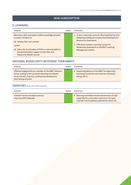#### **NON-SUBSCRIPTION**

#### <span id="page-20-0"></span>**E-LEARNING**

| Outputs                                                                                                                                                                                                                                                                  | Status | Quitcomes                                                                                                                                                                                                                                                |
|--------------------------------------------------------------------------------------------------------------------------------------------------------------------------------------------------------------------------------------------------------------------------|--------|----------------------------------------------------------------------------------------------------------------------------------------------------------------------------------------------------------------------------------------------------------|
| Necessary skills and subject matter knowledge provided<br>to assist members to:<br>(a) develop their own courses<br>and/or<br>(b) utilise the functionality of PHA's e-Learning platform<br>and administration support to host their own<br>biosecurity related courses. |        | • A new e-Learning course for Red Imported Fire Ants<br>(targeting building and construction) developed for<br>Biosecurity Queensland.<br>Effectively hosted e-Learning courses for<br>Biosecurity Queensland on the BOLT Learning<br>Management System. |
|                                                                                                                                                                                                                                                                          |        |                                                                                                                                                                                                                                                          |

#### **NATIONAL BIOSECURITY RESPONSE TEAM (NBRT)**

| Outputs                                                                                                                                                                                            | Status | Outromes                                                                                                          |
|----------------------------------------------------------------------------------------------------------------------------------------------------------------------------------------------------|--------|-------------------------------------------------------------------------------------------------------------------|
| Effective engagement as a member of the NBRT Advisory<br>Group, leading to the successful planning and delivery<br>of recruitment, induction, professional development<br>and training activities. |        | • Supporting delivery of the NBRT arrangements<br>(involving recruitment and induction processes<br>during 2021). |

#### **EXERCISES** *(new since AOP endorsed)*

| Outputs                                                             | Status | Outcomes                                                                                                                                                  |
|---------------------------------------------------------------------|--------|-----------------------------------------------------------------------------------------------------------------------------------------------------------|
| Oriental Fruit fly simulation exercise<br>(new since AOP endorsed). |        | • Planning committee formed and exercise concept<br>supported for a simulation exercise on the pest<br>Oriental Fruit Fly (delivery planned for 2022/23). |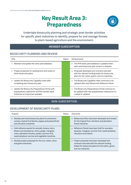### **Key Result Area 3: Preparedness**



<span id="page-21-0"></span>**Undertake biosecurity planning and strategic post-border activities for specific plant industries to identify, prepare for and manage threats to plant-based agriculture and the environment.** 

#### **MEMBER SUBSCRIPTION**

#### **BIOSECURITY PLANNING AND REVIEW**

| <b>KPIS</b>                                                                                                                                | Status | Achievements                                                                                                                                              |
|--------------------------------------------------------------------------------------------------------------------------------------------|--------|-----------------------------------------------------------------------------------------------------------------------------------------------------------|
| Maintain and update the exotic pest database.<br>٠                                                                                         |        | • The PHA exotic pest database is updated when<br>each new biosecurity plan version is released.                                                          |
| • Prepare proposals for development and review of<br>three biosecurity plans.                                                              |        | Proposals developed and contracts executed<br>٠<br>with the relevant funding bodies for biosecurity<br>plans for the cotton, grains, and rice industries. |
| • Update the Biosecurity Capability Index after<br>completing each biosecurity plan.                                                       |        | • The Biosecurity Capability Index continues to be<br>updated after each Biosecurity Reference Panel.                                                     |
| • Update the Biosecurity Preparedness Portal with<br>preparedness material for all PHA member plant<br>industries as it becomes available. |        | • The Biosecurity Preparedness Portal continues to<br>be updated with new preparedness material as it is<br>created or updated.                           |

#### **NON-SUBSCRIPTION**

#### **DEVELOPMENT OF BIOSECURITY PLANS**

| Outputs                                                                                                                                                                                                           | Status | Quitcomes                                                                                                                                                                     |
|-------------------------------------------------------------------------------------------------------------------------------------------------------------------------------------------------------------------|--------|-------------------------------------------------------------------------------------------------------------------------------------------------------------------------------|
| Develop and revise biosecurity plans for production<br>nursery, tropical fruit (lychee, papaya and passionfruit)<br>and viticulture industries.                                                                   |        | Biosecurity Plans have been developed and revised<br>٠<br>for the tropical fruit, viticulture and plantation<br>forest industries.                                            |
| • Hold reference panels for avocado, banana, berry<br>(Rubus and strawberry), cherry, ginger, mangoes,<br>onion, plantation forestry, potato, summer fruit,<br>sweet potatoes, tea tree and vegetable industries. |        | • Reference Panels have been held for avocados,<br>bananas, mangoes, summer fruit, sweet potatoes,<br>viticulture and melons.                                                 |
| Develop project proposals for the rice, cotton, citrus<br>and grains industries.                                                                                                                                  |        | Project proposals have been developed and<br>٠<br>contracts executed with the relevant funding<br>bodies for biosecurity plans for the cotton, grains<br>and rice industries. |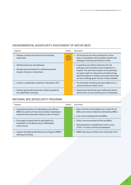#### **ENVIRONMENTAL BIOSECURITY ASSESSMENT OF NATIVE BEES**

| Outputs                                                                                                                     | Status | Outcomes                                                                                                                                                                                                                                                                                                        |
|-----------------------------------------------------------------------------------------------------------------------------|--------|-----------------------------------------------------------------------------------------------------------------------------------------------------------------------------------------------------------------------------------------------------------------------------------------------------------------|
| • Develop a biosecurity threat list for Australian<br>native bees.                                                          |        | • The threat list has been developed for native<br>bees in consultation with Australian experts and<br>utilising an international literature review.                                                                                                                                                            |
| • Identify biosecurity risk pathways.<br>• Develop recommendations to address potential<br>impacts of pests on native bees. |        | • A workshop was held to determine the risk<br>pathways and to develop recommendations on<br>impacts. The work was complex as the pathways<br>are quite cryptic for native bees and determining<br>potential impacts on solitary and social native bees<br>can be a challenge given the lack of data available. |
| • Conduct a stakeholder workshop in November 2021.                                                                          |        | • The November workshop has been deferred to a<br>virtual workshop in March 2022.                                                                                                                                                                                                                               |
| · Develop appropriate awareness material, guided by<br>the stakeholder workshop.                                            |        | • Awareness material has been drafted and will be<br>tested at the virtual workshop prior to finalisation.                                                                                                                                                                                                      |

#### **NATIONAL BEE BIOSECURITY PROGRAM**

| Outputs                                                                                                                                                             | Status | Outcomes                                                                                                                                         |
|---------------------------------------------------------------------------------------------------------------------------------------------------------------------|--------|--------------------------------------------------------------------------------------------------------------------------------------------------|
| • Coordinate activities of six Bee Biosecurity Officers<br>(BBOs) to assist commercial and amateur beekeepers<br>implement the Honey Bee Industry Code of Practice. |        | • New contracts and workplans put in place for all<br>BBOs and contract milestones delivered by BBOs.<br>• Five virtual meetings held with BBOs. |
| • Encourage increased level of participation by<br>beekeepers in the Biosecurity for Beekeepers<br>online course.                                                   |        | • Online course promoted by PHA and BBOs.<br>• 584 participants completed the online course,<br>of this 17% were commercial beekeepers.          |
| • Support the National Bee Biosecurity Program (NBBP)<br>Steering Committee.                                                                                        |        | • NBBP steering committee met in December 2021.                                                                                                  |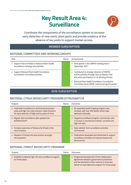### **Key Result Area 4: Surveillance**



<span id="page-23-0"></span>**Coordinate the components of the surveillance system to increase early detection of new exotic plant pests and provide evidence of the absence of key pests to support market access.** 

#### **MEMBER SUBSCRIPTION**

#### **NATIONAL COMMITTEES AND WORKING GROUPS**

| <b>KPIs</b>                                                                              | Status | Achievements                                                                                                                                         |
|------------------------------------------------------------------------------------------|--------|------------------------------------------------------------------------------------------------------------------------------------------------------|
| • Support Subcommittee on National Plant Health<br>Surveillance meetings and activities. |        | • Participation in the SNPHS meeting held in<br>September 2021.                                                                                      |
| Support National Plant Health Surveillance<br>Consultative Committee activities.         |        | • Contributed to strategic direction of SNPHS<br>and its activities through roles as Deputy Chair<br>and active participation on its Working Groups. |
|                                                                                          |        | • National Plant Health Surveillance Consultative<br>Committee led by DAWE, inactive during this period.                                             |

#### **NON-SUBSCRIPTION**

#### **NATIONAL CITRUS BIOSECURITY PROGRAM (CITRUSWATCH)**

| Outputs                                                                                                                                                          | Status | Outcomes                                                                                                                 |
|------------------------------------------------------------------------------------------------------------------------------------------------------------------|--------|--------------------------------------------------------------------------------------------------------------------------|
| • Undertake surveillance in commercial production<br>areas and high risk urban and peri-urban locations<br>for early detection of high priority pests of citrus. |        | • An expanded psyllid trapping program was<br>initiated, with over 650 yellow sticky traps<br>deployed nationally.       |
| • Regular data surveillance data uploads into<br>AUSPest <i>Check</i> ™.                                                                                         |        | • Targeted surveillance program commenced, with<br>4 surveys in commercial orchards, nurseries and<br>high risk sites.   |
| • Increase awareness of biosecurity threats in the<br>citrus industry.                                                                                           |        | • Data collation from surveillance activities<br>commenced.                                                              |
| • Adoption of biosecurity best practice amongst<br>citrus growers.                                                                                               |        | • Publications developed and distributed to support<br>surveillance activities and improve biosecurity<br>best practice. |

#### **NATIONAL FOREST BIOSECURITY PROGRAM**

| Outputs                                                                         | Status | Outcomes                                                                                                                                                                                              |
|---------------------------------------------------------------------------------|--------|-------------------------------------------------------------------------------------------------------------------------------------------------------------------------------------------------------|
| • Establish a national high-risk site surveillance program<br>for forest pests. |        | • Progressed development of the Collaboration<br>Agreement between government jurisdictions<br>and the plantation timber industry to fund and<br>deliver an early detection program for forest pests. |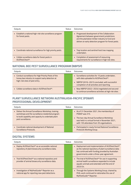| Outputs                                                                         | Status | Outcomes                                                                                                                                                                                              |
|---------------------------------------------------------------------------------|--------|-------------------------------------------------------------------------------------------------------------------------------------------------------------------------------------------------------|
| • Establish a national high-risk site surveillance program<br>for forest pests. |        | • Progressed development of the Collaboration<br>Agreement between government jurisdictions<br>and the plantation timber industry to fund and<br>deliver an early detection program for forest pests. |
| • Coordinate national surveillance for high priority pests.                     |        | • Trap location and sentinel host tree mapping<br>undertaken.                                                                                                                                         |
| • Collate surveillance data for forest pests in<br>AUSPest <i>Check</i> ™.      |        | • Completion of assessment of resourcing<br>requirements for surveillance in high risk sites.                                                                                                         |

#### **NATIONAL BEE PEST SURVEILLANCE PROGRAM (NBPSP)**

| Outputs                                                                                                                                     | Status | Outcomes                                                                                                                                                                                    |
|---------------------------------------------------------------------------------------------------------------------------------------------|--------|---------------------------------------------------------------------------------------------------------------------------------------------------------------------------------------------|
| • Conduct surveillance for High Priority Pests of the<br>honey bee industry to support early detection at<br>high-risk sites of pest entry. |        | • Surveillance activities for 15 pests undertaken,<br>with data uploaded to AUSPestCheck™.<br>• NBPSP (2016-2021) concluded, with successful<br>completion of all activities and reporting. |
| ■ Collate surveillance data in AUSPest Check™.                                                                                              |        | • New NBPSP (2022–2024) negotiated and secured<br>to continue surveillance activities at high risk sites.                                                                                   |

#### **PLANT SURVEILLANCE NETWORK AUSTRALASIA-PACIFIC (PSNAP) PROFESSIONAL DEVELOPMENT**

| Outputs                                                                                                                                                                                 | Status | Outcomes                                                                                                                                                                                                   |
|-----------------------------------------------------------------------------------------------------------------------------------------------------------------------------------------|--------|------------------------------------------------------------------------------------------------------------------------------------------------------------------------------------------------------------|
| • Deliver the Annual Surveillance Workshop, training<br>workshops and the surveillance residential program<br>to build capability and capacity to undertake plant<br>pest surveillance. |        | • As of 31 December 2021, the membership of<br>PSNAP was 315.<br>• The two-day Annual Surveillance Workshop<br>was held in a virtual format in November 2021,<br>with 135 attendees from 35 organisations. |
| • Coordinate national development of National<br>Surveillance Protocols.                                                                                                                |        | Participated in newly formed National Surveillance<br>Protocols Working Group.                                                                                                                             |

#### **DIGITAL SYSTEMS**

| Outputs                                                                                                  | Status | Outcomes                                                                                                                                                                                                    |
|----------------------------------------------------------------------------------------------------------|--------|-------------------------------------------------------------------------------------------------------------------------------------------------------------------------------------------------------------|
| ■ Deploy AUSPest Check™ as an accessible national<br>repository of plant biosecurity surveillance data.  |        | ■ Deployment and implementation of AUSPestCheck™<br>as the national repository of plant surveillance data<br>has continued with funding provided by Australian<br>governments under a three-year agreement. |
| ■ Trial AUSPest Check™ as a national repository and<br>provider of animal biosecurity surveillance data. |        | ■ The trial of AUSPest <i>Check</i> <sup>™</sup> for use in supporting<br>animal health surveillance expanded to include<br>aquatic animals and extended until the end of<br>2023/24.                       |
| ■ Investigation of MyPestGuide™ Reporter as a<br>national app for reporting new pest detections.         |        | • Through the Systems Working Group, chaired by<br>PHA, work continued to nationalise the use of<br>MyPestGuide™ Reporter.                                                                                  |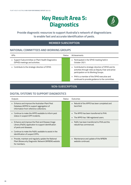### **Key Result Area 5: Diagnostics**



#### <span id="page-25-0"></span>**Provide diagnostic resources to support Australia's network of diagnosticians to enable fast and accurate identification of pests.**

#### **MEMBER SUBSCRIPTION**

#### **NATIONAL COMMITTEES AND WORKING GROUPS**

| <b>KPIs</b>                                                                         | Status | Achievements                                                                                                                                        |
|-------------------------------------------------------------------------------------|--------|-----------------------------------------------------------------------------------------------------------------------------------------------------|
| Support Subcommittee on Plant Health Diagnostics<br>(SPHD) meetings and activities. |        | • Participated in the SPHD meeting held in<br>October 2021.                                                                                         |
| • Contribute to the strategic direction of SPHD.                                    |        | • Contributed to strategic direction of SPHD and its<br>activities through roles as Deputy Chair and active<br>participation on its Working Groups. |
|                                                                                     |        | • PHA is a member of the SPHD executive and<br>continued to provide guidance to the committee.                                                      |

#### **NON-SUBSCRIPTION**

#### **DIGITAL SYSTEMS TO SUPPORT DIAGNOSTICS**

| Outputs                                                                                                                                             | Status | Outcomes                                                                              |
|-----------------------------------------------------------------------------------------------------------------------------------------------------|--------|---------------------------------------------------------------------------------------|
| Enhance and improve the Australian Plant Pest<br>Database (APPD) to support aggregation of<br>information from reference collections.               |        | Rebuild of the APPD has been completed and<br>$\blacksquare$<br>launched.             |
| • Continue to make the APPD available to inform pest<br>status in suspect EPP incidents.                                                            |        | The APPD has been transferred to PHA.<br>The APPD has 198 registered users.<br>٠      |
| Enhance and improve the Pest and Disease Image<br>$\blacksquare$<br>Library (PaDIL) application to support identification<br>of pests and diseases. |        | PaDIL has been transferred to PHA and the<br>$\blacksquare$<br>rebuild has commenced. |
| Continue to make the PaDIL available to assist in the<br>identification of suspect EPPs.                                                            |        |                                                                                       |
| Provide, maintain and regularly update the National<br>Plant Biosecurity Diagnostic Network (NPBDN) website<br>for members.                         |        | Maintenance and update of the NPBDN<br>$\blacksquare$<br>website continued.           |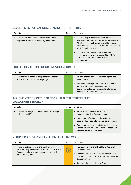#### **DEVELOPMENT OF NATIONAL DIAGNOSTIC PROTOCOLS**

| Outputs                                                                                             | Status | Quitcomes                                                                                                                                                                                                                                                                                                                                                                                           |
|-----------------------------------------------------------------------------------------------------|--------|-----------------------------------------------------------------------------------------------------------------------------------------------------------------------------------------------------------------------------------------------------------------------------------------------------------------------------------------------------------------------------------------------------|
| • Facilitate the development or review of National<br>Diagnostic Protocols (NDPs) for agreed NPPPs. |        | • One NDP (Sugarcane woolly aphid) endorsed and<br>five NDPs (Lentil anthracnose, Panama Disease TR4,<br>Wheat spindle Streak Mosaic Virus, Flavescence<br>dorée phytoplasma and Texas root rot) submitted to<br>SPHD for endorsement.<br>• One five-year review of an NDP (Avocado thrips)<br>completed and five-year reviews of two NDPs<br>(Karnal bunt and Sudden Oak Death) have<br>commenced. |

#### **PROFICIENCY TESTING OF DIAGNOSTIC LABORATORIES**

| Outputs                                                                                            | Status | Quitcomes                                                                                                                                                                                                                                                      |
|----------------------------------------------------------------------------------------------------|--------|----------------------------------------------------------------------------------------------------------------------------------------------------------------------------------------------------------------------------------------------------------------|
| • Facilitate the provision of samples to the National<br>Plant Health Proficiency Testing Program. |        | • Round 9 of the Proficiency Testing Program has<br>been completed.<br>• Work continued to progress a Material Transfer<br>Agreement for use between participating<br>laboratories to facilitate the transfer of material<br>required for proficiency testing. |

#### **IMPLEMENTATION OF THE NATIONAL PLANT PEST REFERENCE COLLECTIONS STRATEGY**

| Outputs                                                                        | Status | Quitcomes                                                                                                                       |
|--------------------------------------------------------------------------------|--------|---------------------------------------------------------------------------------------------------------------------------------|
| • Facilitate the analysis of reference sample coverage<br>and needs for NPPPs. |        | • Participated in the Reference Collection<br>Implementation Plan Working Group.                                                |
|                                                                                |        | • Contributed to feedback on the review of the<br>National Plant Pest Reference Collection Strategy.                            |
|                                                                                |        | • Contributed to development of a workshop being<br>planned by SPHD and DAWE for importation and<br>domestic movement of NPPPs. |

#### **NPBDN PROFESSIONAL DEVELOPMENT FRAMEWORK**

| Outputs                                                                                                                                                                                   | Status              | Outcomes                                                                                                                                                                                                                                 |
|-------------------------------------------------------------------------------------------------------------------------------------------------------------------------------------------|---------------------|------------------------------------------------------------------------------------------------------------------------------------------------------------------------------------------------------------------------------------------|
| • Initiatives to build capacity and capability in the<br>NPBDN through delivery of the Annual Diagnostician's<br>Workshop, training workshops and the diagnostics<br>residential program. | معنى<br>مون<br>موني | • The membership of the NPBDN was 452 as of<br>December 2021.<br>. The Annual Diagnostician's Workshop was held<br>virtually in October 2021 with 179 attendees from<br>25 organisations.<br>• Six residentials on hold due to Covid-19. |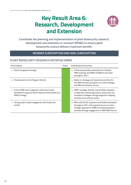### <span id="page-27-0"></span>**Key Result Area 6: Research, Development and Extension**



**Coordinate the planning and implementation of plant biosecurity research, development and extension or outreach (RD&E) to ensure plant biosecurity science delivers maximum benefit.** 

#### **MEMBER SUBSCRIPTION AND NON-SUBSCRIPTION**

#### **PLANT BIOSECURITY RESEARCH INITIATIVE (PBRI)**

| <b>KPIs/Outputs</b>                                                                                                             | Status | Achievements/Outcomes                                                                                                                                                                                         |
|---------------------------------------------------------------------------------------------------------------------------------|--------|---------------------------------------------------------------------------------------------------------------------------------------------------------------------------------------------------------------|
| Attend all agreed meetings.                                                                                                     |        | A PHA representative attended all scheduled<br>٠<br>PBRI meetings and PBRI-led R&D forums held<br>throughout 2021.                                                                                            |
| • Provide advice to the Program Director.                                                                                       |        | • Advice on strategy and investment priorities for<br>the PBRI has been provided in six online strategy<br>and R&D prioritisation forums.                                                                     |
| Ensure PBRI work is aligned to national priorities<br>identified through the AGSOC National Plant Biosecurity<br>RD&E Strategy. |        | PBRI's strategic direction and activities designed<br>٠<br>to align with national agriculture, biosecurity and<br>innovation strategies through alignment mapping<br>activities and continual review.         |
| Strong project-based engagement with Euphresco<br>and $B3$ .                                                                    |        | MOU with B3 NZ, Euphresco and ACIAR maintained<br>٠<br>throughout 2021 with a greater focus on a more<br>strategic approach to RD&E and sharing research<br>priorities through engagement in PBRI R&D forums. |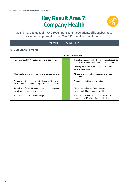### **Key Result Area 7: Company Health**



<span id="page-29-0"></span>**Sound management of PHA through transparent operations, efficient business systems and professional staff to fulfil member commitments.** 

#### **MEMBER SUBSCRIPTION**

#### **BOARD MANAGEMENT**

| <b>KPIs</b>                                                                                                       | Status | Achievements                                                                                                |
|-------------------------------------------------------------------------------------------------------------------|--------|-------------------------------------------------------------------------------------------------------------|
| • Performance of PHA meets members' expectations.                                                                 |        | There has been no feedback received to indicate that<br>performance doesn't meet member expectations.       |
|                                                                                                                   |        | Planning has commenced for a 2022-member<br>٠<br>satisfaction survey.                                       |
| Meet legal and constitutional compliance requirements.                                                            |        | All legal and constitutional requirements have<br>$\blacksquare$<br>been met.                               |
| • Provide secretariat support to the Board and follow-up<br>Board, F&AC and other meetings attended by directors. |        | Support has met Board expectations.                                                                         |
| Attendance of the PHA Board at over 80% of requested<br>٠<br>member and stakeholder meetings.                     |        | • Director attendance at Board meetings<br>(held virtually) has exceeded the KPI.                           |
| • Finalise the 2021 Board Selection process.                                                                      |        | This process is on track to appoint one more<br>$\blacksquare$<br>director at the May 2022 General Meeting. |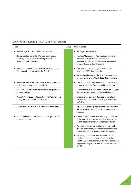#### **COMPANY FINANCE AND ADMINISTRATION**

| <b>KPIs</b>                                                                                                               | <b>Status</b><br>Achievements                                                                                                                                                                                                                  |
|---------------------------------------------------------------------------------------------------------------------------|------------------------------------------------------------------------------------------------------------------------------------------------------------------------------------------------------------------------------------------------|
| Meet all legal and constitutional obligations.<br>٠                                                                       | · All obligations were met.                                                                                                                                                                                                                    |
| Review the Company Risk Management Report<br>quarterly and include as a standing item for PHA<br>Board and F&AC meetings. | • The Risk Management Plan has been regularly<br>reviewed and updated by the Executive<br>Management Team and subsequently reviewed<br>at each F&AC and Board meeting.                                                                         |
| Review and update the Company Human Resources<br>Plan annually and present to the Board.                                  | The plan was reviewed by the Board at the<br>November 2021 Board meeting                                                                                                                                                                       |
|                                                                                                                           | • Succession planning for the PHA Board and Chair<br>will take place at the March 2022 Board meeting.                                                                                                                                          |
| Have annual financial statements externally audited<br>and declared accurate and compliant.                               | The 2021 financial statements and notes received<br>a clean audit report from our auditors, Synergy.                                                                                                                                           |
| • Schedule and implement internal audit program and<br>address findings.                                                  | · Satisfactory audits have been undertaken on Cyber<br>Security and on Levies and funds held in trust.                                                                                                                                         |
| Present PHA's 2022-23 budget and AOP to members<br>and agree subscriptions in May 2022.                                   | An audit on a Review of Business Continuity and<br>Disaster Recovery Plans will take place in the first<br>half of 2022.                                                                                                                       |
| • Continue and build on the PHA and AHA partnership.                                                                      | Agreed MoU is being implemented. Work includes<br>the farm biosecurity, training and other partnership<br>projects.                                                                                                                            |
| Assist members to implement and manage statutory<br>biosecurity levies.                                                   | • Cooperation continues with a strong partnership<br>in the areas of emergency response training, the<br>Farm Biosecurity program and communication.                                                                                           |
|                                                                                                                           | • We continue to work with plant industries and<br>the Commonwealth government to establish and<br>amend statutory biosecurity levies as required.                                                                                             |
|                                                                                                                           | Following consultation with Members, draft<br>$\blacksquare$<br>legislation has been prepared to simplify the<br>Plant Health Australia Funding Act. This is expected to<br>progress through Parliament in the third quarter of<br>$21 - 22$ . |